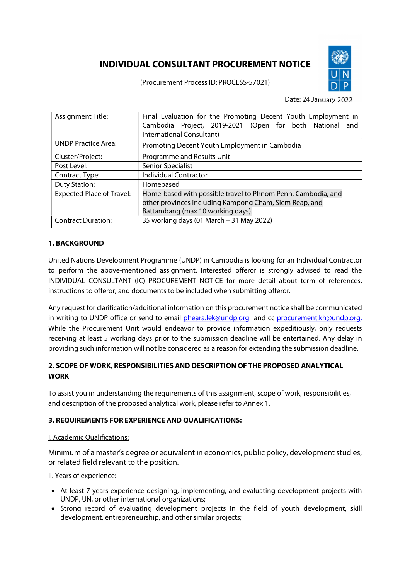# INDIVIDUAL CONSULTANT PROCUREMENT NOTICE

(Procurement Process ID: PROCESS-57021)



Date: 24 January 2022

| <b>Assignment Title:</b>         | Final Evaluation for the Promoting Decent Youth Employment in<br>Cambodia Project, 2019-2021 (Open for both National and |
|----------------------------------|--------------------------------------------------------------------------------------------------------------------------|
|                                  | International Consultant)                                                                                                |
| <b>UNDP Practice Area:</b>       | Promoting Decent Youth Employment in Cambodia                                                                            |
| Cluster/Project:                 | Programme and Results Unit                                                                                               |
| Post Level:                      | <b>Senior Specialist</b>                                                                                                 |
| Contract Type:                   | <b>Individual Contractor</b>                                                                                             |
| <b>Duty Station:</b>             | Homebased                                                                                                                |
| <b>Expected Place of Travel:</b> | Home-based with possible travel to Phnom Penh, Cambodia, and                                                             |
|                                  | other provinces including Kampong Cham, Siem Reap, and                                                                   |
|                                  | Battambang (max.10 working days).                                                                                        |
| <b>Contract Duration:</b>        | 35 working days (01 March - 31 May 2022)                                                                                 |

# 1. BACKGROUND

United Nations Development Programme (UNDP) in Cambodia is looking for an Individual Contractor to perform the above-mentioned assignment. Interested offeror is strongly advised to read the INDIVIDUAL CONSULTANT (IC) PROCUREMENT NOTICE for more detail about term of references, instructions to offeror, and documents to be included when submitting offeror.

Any request for clarification/additional information on this procurement notice shall be communicated in writing to UNDP office or send to email pheara.lek@undp.org and cc procurement.kh@undp.org. While the Procurement Unit would endeavor to provide information expeditiously, only requests receiving at least 5 working days prior to the submission deadline will be entertained. Any delay in providing such information will not be considered as a reason for extending the submission deadline.

# 2. SCOPE OF WORK, RESPONSIBILITIES AND DESCRIPTION OF THE PROPOSED ANALYTICAL **WORK**

To assist you in understanding the requirements of this assignment, scope of work, responsibilities, and description of the proposed analytical work, please refer to Annex 1.

# 3. REQUIREMENTS FOR EXPERIENCE AND QUALIFICATIONS:

## I. Academic Qualifications:

Minimum of a master's degree or equivalent in economics, public policy, development studies, or related field relevant to the position.

## II. Years of experience:

- At least 7 years experience designing, implementing, and evaluating development projects with UNDP, UN, or other international organizations;
- Strong record of evaluating development projects in the field of youth development, skill development, entrepreneurship, and other similar projects;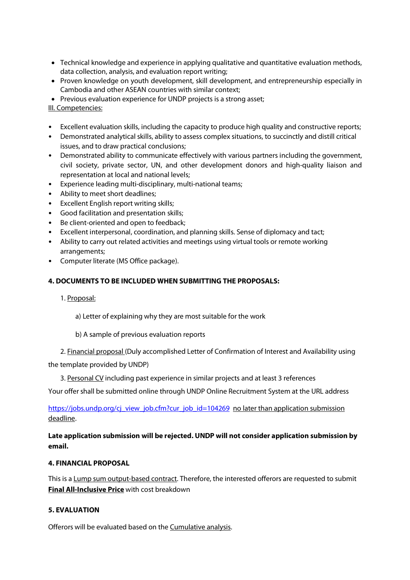- Technical knowledge and experience in applying qualitative and quantitative evaluation methods, data collection, analysis, and evaluation report writing;
- Proven knowledge on youth development, skill development, and entrepreneurship especially in Cambodia and other ASEAN countries with similar context;
- Previous evaluation experience for UNDP projects is a strong asset;
- III. Competencies:
- Excellent evaluation skills, including the capacity to produce high quality and constructive reports;
- Demonstrated analytical skills, ability to assess complex situations, to succinctly and distill critical issues, and to draw practical conclusions;
- Demonstrated ability to communicate effectively with various partners including the government, civil society, private sector, UN, and other development donors and high-quality liaison and representation at local and national levels;
- Experience leading multi-disciplinary, multi-national teams;
- Ability to meet short deadlines;
- Excellent English report writing skills;
- Good facilitation and presentation skills;
- Be client-oriented and open to feedback;
- Excellent interpersonal, coordination, and planning skills. Sense of diplomacy and tact;
- Ability to carry out related activities and meetings using virtual tools or remote working arrangements;
- Computer literate (MS Office package).

## 4. DOCUMENTS TO BE INCLUDED WHEN SUBMITTING THE PROPOSALS:

- 1. Proposal:
	- a) Letter of explaining why they are most suitable for the work
	- b) A sample of previous evaluation reports
- 2. Financial proposal (Duly accomplished Letter of Confirmation of Interest and Availability using

the template provided by UNDP)

3. Personal CV including past experience in similar projects and at least 3 references

Your offer shall be submitted online through UNDP Online Recruitment System at the URL address

https://jobs.undp.org/cj\_view\_job.cfm?cur\_job\_id=104269 no later than application submission deadline.

# Late application submission will be rejected. UNDP will not consider application submission by email.

# 4. FINANCIAL PROPOSAL

This is a Lump sum output-based contract. Therefore, the interested offerors are requested to submit Final All-Inclusive Price with cost breakdown

## 5. EVALUATION

Offerors will be evaluated based on the Cumulative analysis.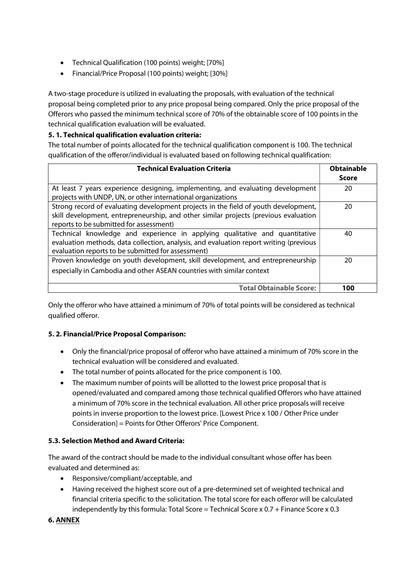- Technical Qualification (100 points) weight; [70%]
- Financial/Price Proposal (100 points) weight; [30%]

A two-stage procedure is utilized in evaluating the proposals, with evaluation of the technical proposal being completed prior to any price proposal being compared. Only the price proposal of the Offerors who passed the minimum technical score of 70% of the obtainable score of 100 points in the technical qualification evaluation will be evaluated.

# 5. 1. Technical qualification evaluation criteria:

The total number of points allocated for the technical qualification component is 100. The technical qualification of the offeror/individual is evaluated based on following technical qualification:

| <b>Technical Evaluation Criteria</b>                                                                                                            | <b>Obtainable</b> |
|-------------------------------------------------------------------------------------------------------------------------------------------------|-------------------|
|                                                                                                                                                 | Score             |
| At least 7 years experience designing, implementing, and evaluating development<br>projects with UNDP, UN, or other international organizations | 20                |
|                                                                                                                                                 |                   |
| Strong record of evaluating development projects in the field of youth development,                                                             | 20                |
| skill development, entrepreneurship, and other similar projects (previous evaluation                                                            |                   |
| reports to be submitted for assessment)                                                                                                         |                   |
| Technical knowledge and experience in applying qualitative and quantitative                                                                     | 40                |
| evaluation methods, data collection, analysis, and evaluation report writing (previous                                                          |                   |
| evaluation reports to be submitted for assessment)                                                                                              |                   |
| Proven knowledge on youth development, skill development, and entrepreneurship                                                                  | 20                |
| especially in Cambodia and other ASEAN countries with similar context                                                                           |                   |
|                                                                                                                                                 |                   |
| <b>Total Obtainable Score:</b>                                                                                                                  | 100               |

Only the offeror who have attained a minimum of 70% of total points will be considered as technical qualified offeror.

## 5. 2. Financial/Price Proposal Comparison:

- Only the financial/price proposal of offeror who have attained a minimum of 70% score in the technical evaluation will be considered and evaluated.
- The total number of points allocated for the price component is 100.
- The maximum number of points will be allotted to the lowest price proposal that is opened/evaluated and compared among those technical qualified Offerors who have attained a minimum of 70% score in the technical evaluation. All other price proposals will receive points in inverse proportion to the lowest price. [Lowest Price x 100 / Other Price under Consideration] = Points for Other Offerors' Price Component.

## 5.3. Selection Method and Award Criteria:

The award of the contract should be made to the individual consultant whose offer has been evaluated and determined as:

- Responsive/compliant/acceptable, and
- Having received the highest score out of a pre-determined set of weighted technical and financial criteria specific to the solicitation. The total score for each offeror will be calculated independently by this formula: Total Score = Technical Score x  $0.7 +$  Finance Score x  $0.3$

## 6. ANNEX